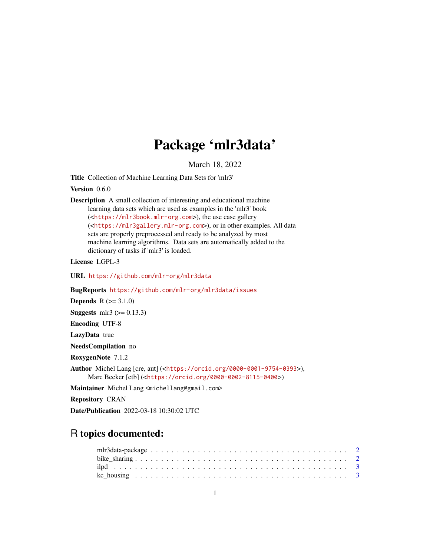## Package 'mlr3data'

March 18, 2022

<span id="page-0-0"></span>Title Collection of Machine Learning Data Sets for 'mlr3'

Version 0.6.0

Description A small collection of interesting and educational machine learning data sets which are used as examples in the 'mlr3' book (<<https://mlr3book.mlr-org.com>>), the use case gallery (<<https://mlr3gallery.mlr-org.com>>), or in other examples. All data sets are properly preprocessed and ready to be analyzed by most machine learning algorithms. Data sets are automatically added to the dictionary of tasks if 'mlr3' is loaded.

License LGPL-3

URL <https://github.com/mlr-org/mlr3data>

BugReports <https://github.com/mlr-org/mlr3data/issues>

**Depends**  $R (= 3.1.0)$ 

Suggests mlr3  $(>= 0.13.3)$ 

Encoding UTF-8

LazyData true

NeedsCompilation no

RoxygenNote 7.1.2

Author Michel Lang [cre, aut] (<<https://orcid.org/0000-0001-9754-0393>>), Marc Becker [ctb] (<<https://orcid.org/0000-0002-8115-0400>>)

Maintainer Michel Lang <michellang@gmail.com>

Repository CRAN

Date/Publication 2022-03-18 10:30:02 UTC

### R topics documented: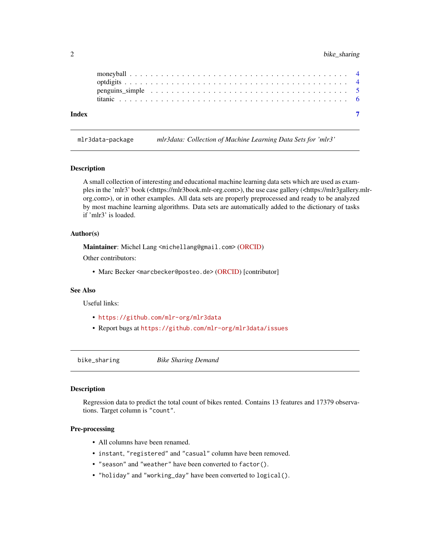#### <span id="page-1-0"></span>2 bike\_sharing

|       | penguins simple $\dots \dots \dots \dots \dots \dots \dots \dots \dots \dots \dots \dots \dots \dots \dots \dots$ |  |  |  |  |  |  |  |  |  |  |  |  |  |  |  |  |  |
|-------|-------------------------------------------------------------------------------------------------------------------|--|--|--|--|--|--|--|--|--|--|--|--|--|--|--|--|--|
|       |                                                                                                                   |  |  |  |  |  |  |  |  |  |  |  |  |  |  |  |  |  |
| Index |                                                                                                                   |  |  |  |  |  |  |  |  |  |  |  |  |  |  |  |  |  |

mlr3data-package *mlr3data: Collection of Machine Learning Data Sets for 'mlr3'*

#### Description

A small collection of interesting and educational machine learning data sets which are used as examples in the 'mlr3' book (<https://mlr3book.mlr-org.com>), the use case gallery (<https://mlr3gallery.mlrorg.com>), or in other examples. All data sets are properly preprocessed and ready to be analyzed by most machine learning algorithms. Data sets are automatically added to the dictionary of tasks if 'mlr3' is loaded.

#### Author(s)

Maintainer: Michel Lang <michellang@gmail.com> [\(ORCID\)](https://orcid.org/0000-0001-9754-0393)

Other contributors:

• Marc Becker <marcbecker@posteo.de> [\(ORCID\)](https://orcid.org/0000-0002-8115-0400) [contributor]

#### See Also

Useful links:

- <https://github.com/mlr-org/mlr3data>
- Report bugs at <https://github.com/mlr-org/mlr3data/issues>

bike\_sharing *Bike Sharing Demand*

#### Description

Regression data to predict the total count of bikes rented. Contains 13 features and 17379 observations. Target column is "count".

#### Pre-processing

- All columns have been renamed.
- instant, "registered" and "casual" column have been removed.
- "season" and "weather" have been converted to factor().
- "holiday" and "working\_day" have been converted to logical().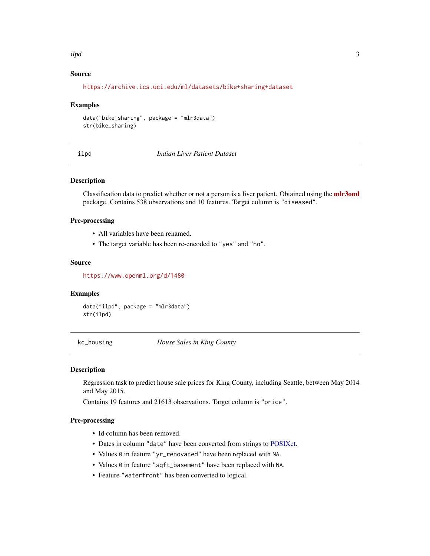#### <span id="page-2-0"></span>ilpd 3

#### Source

<https://archive.ics.uci.edu/ml/datasets/bike+sharing+dataset>

#### Examples

```
data("bike_sharing", package = "mlr3data")
str(bike_sharing)
```
ilpd *Indian Liver Patient Dataset*

#### Description

Classification data to predict whether or not a person is a liver patient. Obtained using the **[mlr3oml](https://CRAN.R-project.org/package=mlr3oml)** package. Contains 538 observations and 10 features. Target column is "diseased".

#### Pre-processing

- All variables have been renamed.
- The target variable has been re-encoded to "yes" and "no".

#### Source

<https://www.openml.org/d/1480>

#### Examples

data("ilpd", package = "mlr3data") str(ilpd)

kc\_housing *House Sales in King County*

#### Description

Regression task to predict house sale prices for King County, including Seattle, between May 2014 and May 2015.

Contains 19 features and 21613 observations. Target column is "price".

#### Pre-processing

- Id column has been removed.
- Dates in column "date" have been converted from strings to [POSIXct.](#page-0-0)
- Values 0 in feature "yr\_renovated" have been replaced with NA.
- Values 0 in feature "sqft\_basement" have been replaced with NA.
- Feature "waterfront" has been converted to logical.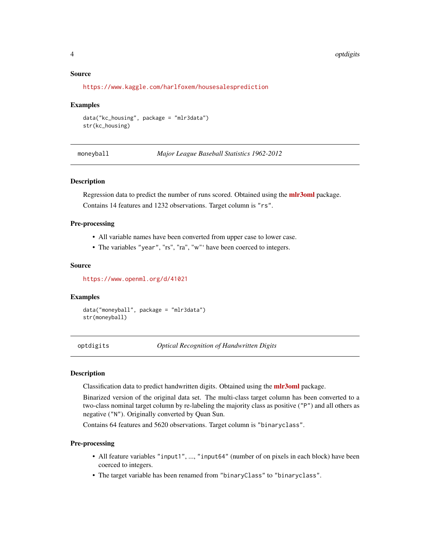#### <span id="page-3-0"></span>Source

```
https://www.kaggle.com/harlfoxem/housesalesprediction
```
#### Examples

```
data("kc_housing", package = "mlr3data")
str(kc_housing)
```
moneyball *Major League Baseball Statistics 1962-2012*

#### Description

Regression data to predict the number of runs scored. Obtained using the **[mlr3oml](https://CRAN.R-project.org/package=mlr3oml)** package. Contains 14 features and 1232 observations. Target column is "rs".

#### Pre-processing

- All variable names have been converted from upper case to lower case.
- The variables "year", "rs", "ra", "w"' have been coerced to integers.

#### Source

<https://www.openml.org/d/41021>

#### Examples

data("moneyball", package = "mlr3data") str(moneyball)

optdigits *Optical Recognition of Handwritten Digits*

#### Description

Classification data to predict handwritten digits. Obtained using the **[mlr3oml](https://CRAN.R-project.org/package=mlr3oml)** package.

Binarized version of the original data set. The multi-class target column has been converted to a two-class nominal target column by re-labeling the majority class as positive ("P") and all others as negative ("N"). Originally converted by Quan Sun.

Contains 64 features and 5620 observations. Target column is "binaryclass".

#### Pre-processing

- All feature variables "input1", ..., "input64" (number of on pixels in each block) have been coerced to integers.
- The target variable has been renamed from "binaryClass" to "binaryclass".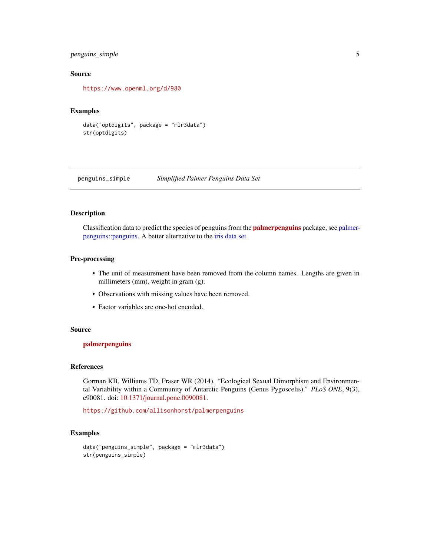#### <span id="page-4-0"></span>penguins\_simple 5

#### Source

<https://www.openml.org/d/980>

#### Examples

```
data("optdigits", package = "mlr3data")
str(optdigits)
```
penguins\_simple *Simplified Palmer Penguins Data Set*

#### Description

Classification data to predict the species of penguins from the **palmer-penguins** package, see [palmer](#page-0-0)[penguins::penguins.](#page-0-0) A better alternative to the [iris data set.](#page-0-0)

#### Pre-processing

- The unit of measurement have been removed from the column names. Lengths are given in millimeters (mm), weight in gram (g).
- Observations with missing values have been removed.
- Factor variables are one-hot encoded.

#### Source

#### [palmerpenguins](https://CRAN.R-project.org/package=palmerpenguins)

#### References

Gorman KB, Williams TD, Fraser WR (2014). "Ecological Sexual Dimorphism and Environmental Variability within a Community of Antarctic Penguins (Genus Pygoscelis)." *PLoS ONE*, 9(3), e90081. doi: [10.1371/journal.pone.0090081.](https://doi.org/10.1371/journal.pone.0090081)

<https://github.com/allisonhorst/palmerpenguins>

#### Examples

```
data("penguins_simple", package = "mlr3data")
str(penguins_simple)
```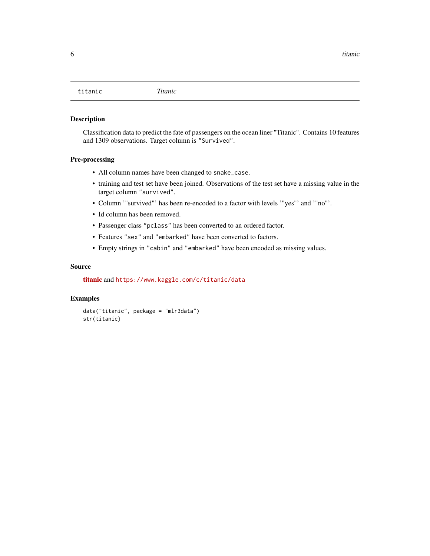<span id="page-5-0"></span>

#### Description

Classification data to predict the fate of passengers on the ocean liner "Titanic". Contains 10 features and 1309 observations. Target column is "Survived".

#### Pre-processing

- All column names have been changed to snake\_case.
- training and test set have been joined. Observations of the test set have a missing value in the target column "survived".
- Column '"survived"' has been re-encoded to a factor with levels '"yes"' and '"no"'.
- Id column has been removed.
- Passenger class "pclass" has been converted to an ordered factor.
- Features "sex" and "embarked" have been converted to factors.
- Empty strings in "cabin" and "embarked" have been encoded as missing values.

#### Source

[titanic](https://CRAN.R-project.org/package=titanic) and <https://www.kaggle.com/c/titanic/data>

#### Examples

```
data("titanic", package = "mlr3data")
str(titanic)
```